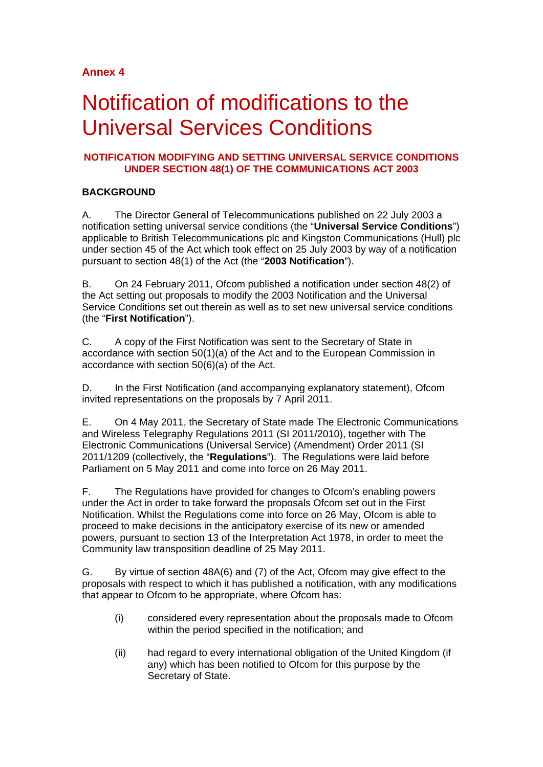# **Annex 4**

# Notification of modifications to the Universal Services Conditions

## **NOTIFICATION MODIFYING AND SETTING UNIVERSAL SERVICE CONDITIONS UNDER SECTION 48(1) OF THE COMMUNICATIONS ACT 2003**

## **BACKGROUND**

A. The Director General of Telecommunications published on 22 July 2003 a notification setting universal service conditions (the "**Universal Service Conditions**") applicable to British Telecommunications plc and Kingston Communications (Hull) plc under section 45 of the Act which took effect on 25 July 2003 by way of a notification pursuant to section 48(1) of the Act (the "**2003 Notification**").

B. On 24 February 2011, Ofcom published a notification under section 48(2) of the Act setting out proposals to modify the 2003 Notification and the Universal Service Conditions set out therein as well as to set new universal service conditions (the "**First Notification**").

C. A copy of the First Notification was sent to the Secretary of State in accordance with section 50(1)(a) of the Act and to the European Commission in accordance with section 50(6)(a) of the Act.

D. In the First Notification (and accompanying explanatory statement), Ofcom invited representations on the proposals by 7 April 2011.

E. On 4 May 2011, the Secretary of State made The Electronic Communications and Wireless Telegraphy Regulations 2011 (SI 2011/2010), together with The Electronic Communications (Universal Service) (Amendment) Order 2011 (SI 2011/1209 (collectively, the "**Regulations**"). The Regulations were laid before Parliament on 5 May 2011 and come into force on 26 May 2011.

F. The Regulations have provided for changes to Ofcom's enabling powers under the Act in order to take forward the proposals Ofcom set out in the First Notification. Whilst the Regulations come into force on 26 May, Ofcom is able to proceed to make decisions in the anticipatory exercise of its new or amended powers, pursuant to section 13 of the Interpretation Act 1978, in order to meet the Community law transposition deadline of 25 May 2011.

G. By virtue of section 48A(6) and (7) of the Act, Ofcom may give effect to the proposals with respect to which it has published a notification, with any modifications that appear to Ofcom to be appropriate, where Ofcom has:

- (i) considered every representation about the proposals made to Ofcom within the period specified in the notification; and
- (ii) had regard to every international obligation of the United Kingdom (if any) which has been notified to Ofcom for this purpose by the Secretary of State.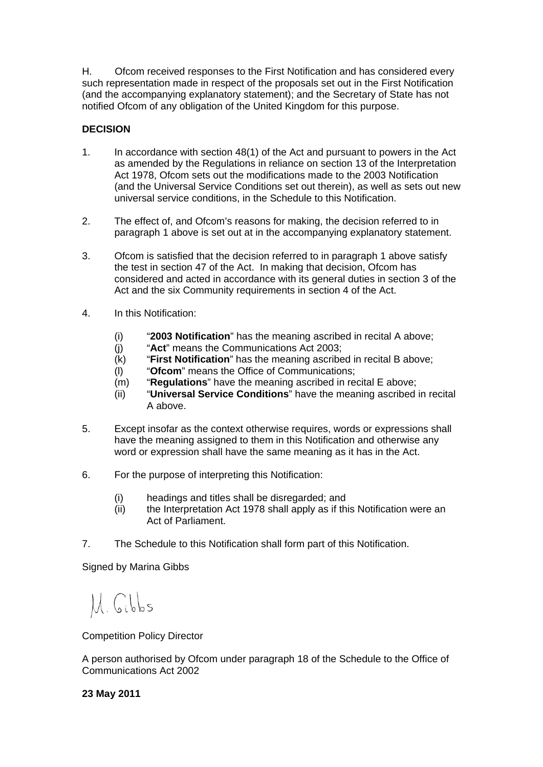H. Ofcom received responses to the First Notification and has considered every such representation made in respect of the proposals set out in the First Notification (and the accompanying explanatory statement); and the Secretary of State has not notified Ofcom of any obligation of the United Kingdom for this purpose.

## **DECISION**

- 1. In accordance with section 48(1) of the Act and pursuant to powers in the Act as amended by the Regulations in reliance on section 13 of the Interpretation Act 1978, Ofcom sets out the modifications made to the 2003 Notification (and the Universal Service Conditions set out therein), as well as sets out new universal service conditions, in the Schedule to this Notification.
- 2. The effect of, and Ofcom's reasons for making, the decision referred to in paragraph 1 above is set out at in the accompanying explanatory statement.
- 3. Ofcom is satisfied that the decision referred to in paragraph 1 above satisfy the test in section 47 of the Act. In making that decision, Ofcom has considered and acted in accordance with its general duties in section 3 of the Act and the six Community requirements in section 4 of the Act.
- 4. In this Notification:
	- (i) "**2003 Notification**" has the meaning ascribed in recital A above;
	- (j) "**Act**" means the Communications Act 2003;
	- (k) "**First Notification**" has the meaning ascribed in recital B above;
	- (l) "**Ofcom**" means the Office of Communications;
	- (m) "**Regulations**" have the meaning ascribed in recital E above;
	- (ii) "**Universal Service Conditions**" have the meaning ascribed in recital A above.
- 5. Except insofar as the context otherwise requires, words or expressions shall have the meaning assigned to them in this Notification and otherwise any word or expression shall have the same meaning as it has in the Act.
- 6. For the purpose of interpreting this Notification:
	- (i) headings and titles shall be disregarded; and
	- (ii) the Interpretation Act 1978 shall apply as if this Notification were an Act of Parliament.
- 7. The Schedule to this Notification shall form part of this Notification.

Signed by Marina Gibbs

M. Gibbs

Competition Policy Director

A person authorised by Ofcom under paragraph 18 of the Schedule to the Office of Communications Act 2002

## **23 May 2011**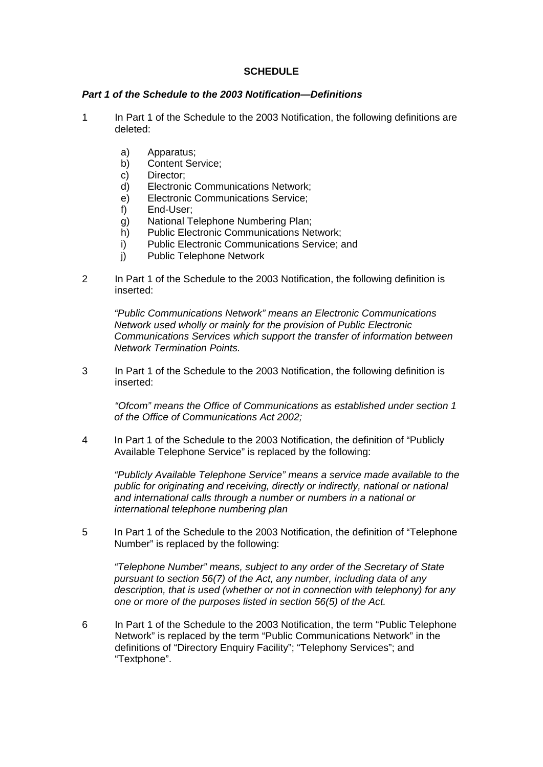#### **SCHEDULE**

#### *Part 1 of the Schedule to the 2003 Notification—Definitions*

- 1 In Part 1 of the Schedule to the 2003 Notification, the following definitions are deleted:
	- a) Apparatus;
	- b) Content Service;
	- c) Director;<br>d) Electroni
	- Electronic Communications Network;
	- e) Electronic Communications Service;
	- f) End-User;
	- g) National Telephone Numbering Plan;
	- h) Public Electronic Communications Network;
	- i) Public Electronic Communications Service; and
	- j) Public Telephone Network
- 2 In Part 1 of the Schedule to the 2003 Notification, the following definition is inserted:

*"Public Communications Network" means an Electronic Communications Network used wholly or mainly for the provision of Public Electronic Communications Services which support the transfer of information between Network Termination Points.*

3 In Part 1 of the Schedule to the 2003 Notification, the following definition is inserted:

*"Ofcom" means the Office of Communications as established under section 1 of the Office of Communications Act 2002;*

4 In Part 1 of the Schedule to the 2003 Notification, the definition of "Publicly Available Telephone Service" is replaced by the following:

*"Publicly Available Telephone Service" means a service made available to the public for originating and receiving, directly or indirectly, national or national and international calls through a number or numbers in a national or international telephone numbering plan*

5 In Part 1 of the Schedule to the 2003 Notification, the definition of "Telephone Number" is replaced by the following:

*"Telephone Number" means, subject to any order of the Secretary of State pursuant to section 56(7) of the Act, any number, including data of any description, that is used (whether or not in connection with telephony) for any one or more of the purposes listed in section 56(5) of the Act.*

6 In Part 1 of the Schedule to the 2003 Notification, the term "Public Telephone Network" is replaced by the term "Public Communications Network" in the definitions of "Directory Enquiry Facility"; "Telephony Services"; and "Textphone".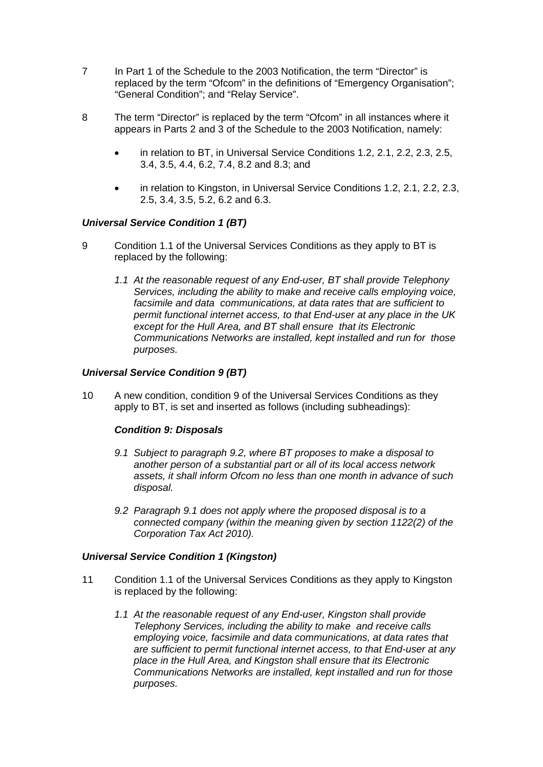- 7 In Part 1 of the Schedule to the 2003 Notification, the term "Director" is replaced by the term "Ofcom" in the definitions of "Emergency Organisation"; "General Condition"; and "Relay Service".
- 8 The term "Director" is replaced by the term "Ofcom" in all instances where it appears in Parts 2 and 3 of the Schedule to the 2003 Notification, namely:
	- in relation to BT, in Universal Service Conditions 1.2, 2.1, 2.2, 2.3, 2.5, 3.4, 3.5, 4.4, 6.2, 7.4, 8.2 and 8.3; and
	- in relation to Kingston, in Universal Service Conditions 1.2, 2.1, 2.2, 2.3, 2.5, 3.4, 3.5, 5.2, 6.2 and 6.3.

## *Universal Service Condition 1 (BT)*

- 9 Condition 1.1 of the Universal Services Conditions as they apply to BT is replaced by the following:
	- *1.1 At the reasonable request of any End-user, BT shall provide Telephony Services, including the ability to make and receive calls employing voice, facsimile and data communications, at data rates that are sufficient to permit functional internet access, to that End-user at any place in the UK except for the Hull Area, and BT shall ensure that its Electronic Communications Networks are installed, kept installed and run for those purposes.*

#### *Universal Service Condition 9 (BT)*

10 A new condition, condition 9 of the Universal Services Conditions as they apply to BT, is set and inserted as follows (including subheadings):

#### *Condition 9: Disposals*

- *9.1 Subject to paragraph 9.2, where BT proposes to make a disposal to another person of a substantial part or all of its local access network assets, it shall inform Ofcom no less than one month in advance of such disposal.*
- *9.2 Paragraph 9.1 does not apply where the proposed disposal is to a connected company (within the meaning given by section 1122(2) of the Corporation Tax Act 2010).*

#### *Universal Service Condition 1 (Kingston)*

- 11 Condition 1.1 of the Universal Services Conditions as they apply to Kingston is replaced by the following:
	- *1.1 At the reasonable request of any End-user, Kingston shall provide Telephony Services, including the ability to make and receive calls employing voice, facsimile and data communications, at data rates that are sufficient to permit functional internet access, to that End-user at any place in the Hull Area, and Kingston shall ensure that its Electronic Communications Networks are installed, kept installed and run for those purposes.*